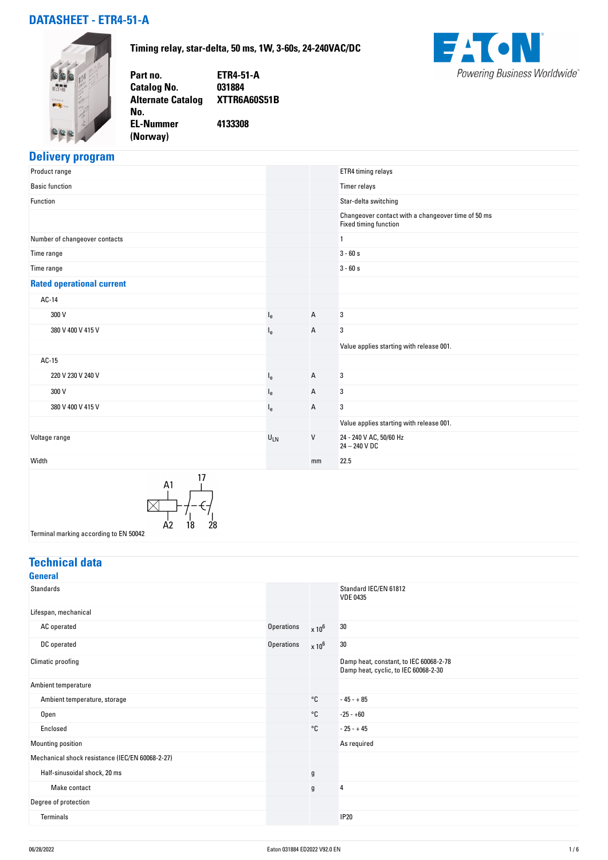### **DATASHEET - ETR4-51-A**

**No.** 

**(Norway)** 

**Timing relay, star-delta, 50 ms, 1W, 3-60s, 24-240VAC/DC**

**Part no. ETR4-51-A Catalog No. Alternate Catalog XTTR6A60S51B EL-Nummer 4133308**



# **Delivery program**

| Product range                                                                    |                |    | ETR4 timing relays                                                          |
|----------------------------------------------------------------------------------|----------------|----|-----------------------------------------------------------------------------|
| <b>Basic function</b>                                                            |                |    | Timer relays                                                                |
| Function                                                                         |                |    | Star-delta switching                                                        |
|                                                                                  |                |    | Changeover contact with a changeover time of 50 ms<br>Fixed timing function |
| Number of changeover contacts                                                    |                |    | $\mathbf{1}$                                                                |
| Time range                                                                       |                |    | $3 - 60s$                                                                   |
| Time range                                                                       |                |    | $3 - 60s$                                                                   |
| <b>Rated operational current</b>                                                 |                |    |                                                                             |
| AC-14                                                                            |                |    |                                                                             |
| 300 V                                                                            | $I_{e}$        | A  | 3                                                                           |
| 380 V 400 V 415 V                                                                | l <sub>e</sub> | Α  | 3                                                                           |
|                                                                                  |                |    | Value applies starting with release 001.                                    |
| AC-15                                                                            |                |    |                                                                             |
| 220 V 230 V 240 V                                                                | l <sub>e</sub> | Α  | 3                                                                           |
| 300 V                                                                            | l <sub>e</sub> | Α  | 3                                                                           |
| 380 V 400 V 415 V                                                                | $I_{e}$        | Α  | 3                                                                           |
|                                                                                  |                |    | Value applies starting with release 001.                                    |
| Voltage range                                                                    | $U_{LN}$       | V  | 24 - 240 V AC, 50/60 Hz<br>24 - 240 V DC                                    |
| Width                                                                            |                | mm | 22.5                                                                        |
| 17<br>A1<br>28<br>A <sub>2</sub><br>18<br>Terminal marking according to EN 50042 |                |    |                                                                             |

### **Technical data**

|                   |               | Standard IEC/EN 61812<br><b>VDE 0435</b>                                       |
|-------------------|---------------|--------------------------------------------------------------------------------|
|                   |               |                                                                                |
| <b>Operations</b> | $\times 10^6$ | 30                                                                             |
| <b>Operations</b> | $\times 10^6$ | 30                                                                             |
|                   |               | Damp heat, constant, to IEC 60068-2-78<br>Damp heat, cyclic, to IEC 60068-2-30 |
|                   |               |                                                                                |
|                   | °C            | $-45 - +85$                                                                    |
|                   | °C            | $-25 - +60$                                                                    |
|                   | °C            | $-25 - +45$                                                                    |
|                   |               | As required                                                                    |
|                   |               |                                                                                |
|                   | $\mathfrak g$ |                                                                                |
|                   | g             | $\overline{4}$                                                                 |
|                   |               |                                                                                |
|                   |               | <b>IP20</b>                                                                    |
|                   |               |                                                                                |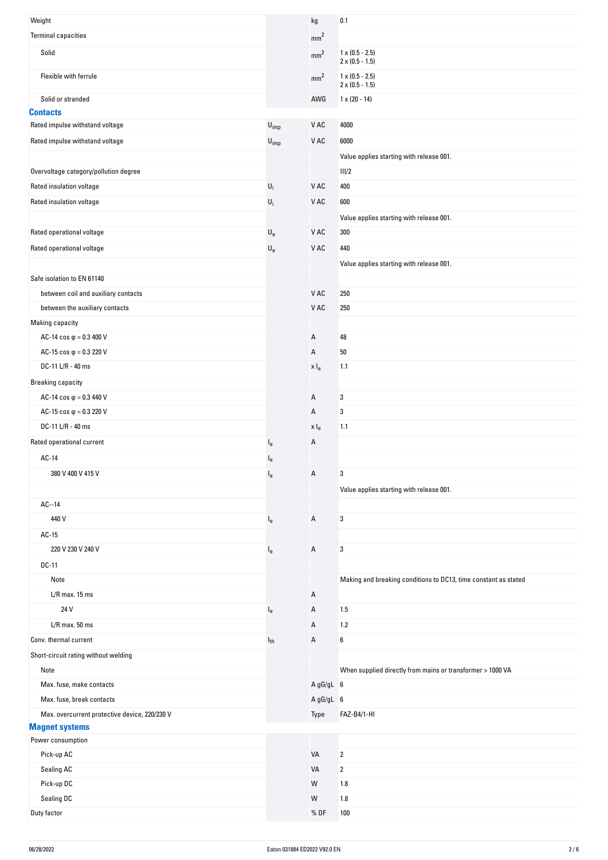| Weight                                        |                             | kg               | 0.1                                                             |
|-----------------------------------------------|-----------------------------|------------------|-----------------------------------------------------------------|
| <b>Terminal capacities</b>                    |                             | mm <sup>2</sup>  |                                                                 |
| Solid                                         |                             | mm <sup>2</sup>  | $1 \times (0.5 - 2.5)$<br>$2 \times (0.5 - 1.5)$                |
| Flexible with ferrule                         |                             | mm <sup>2</sup>  | $1 \times (0.5 - 2.5)$<br>$2 \times (0.5 - 1.5)$                |
| Solid or stranded                             |                             | AWG              | $1 \times (20 - 14)$                                            |
| <b>Contacts</b>                               |                             |                  |                                                                 |
| Rated impulse withstand voltage               | $U_{imp}$                   | V AC             | 4000                                                            |
| Rated impulse withstand voltage               | $\mathsf{U}_{\mathsf{imp}}$ | V AC             | 6000                                                            |
|                                               |                             |                  | Value applies starting with release 001.                        |
| Overvoltage category/pollution degree         |                             |                  | III/2                                                           |
| Rated insulation voltage                      | $\mathsf{U}_\mathsf{i}$     | V AC             | 400                                                             |
| Rated insulation voltage                      | $\mathsf{U}_i$              | V AC             | 600                                                             |
|                                               |                             |                  | Value applies starting with release 001.                        |
| Rated operational voltage                     | $\mathsf{U}_{\mathsf{e}}$   | V AC             | 300                                                             |
| Rated operational voltage                     | $\mathsf{U}_{\mathsf{e}}$   | V AC             | 440                                                             |
|                                               |                             |                  | Value applies starting with release 001.                        |
| Safe isolation to EN 61140                    |                             |                  |                                                                 |
| between coil and auxiliary contacts           |                             | V AC             | 250                                                             |
| between the auxiliary contacts                |                             | V AC             | 250                                                             |
| Making capacity                               |                             |                  |                                                                 |
| AC-14 $\cos \varphi = 0.3$ 400 V              |                             | Α                | 48                                                              |
| AC-15 $\cos \varphi = 0.3220$ V               |                             | Α                | 50                                                              |
| DC-11 L/R - 40 ms                             |                             |                  | 1.1                                                             |
|                                               |                             | x I <sub>e</sub> |                                                                 |
| <b>Breaking capacity</b>                      |                             |                  |                                                                 |
| AC-14 $\cos \varphi = 0.3440$ V               |                             | Α                | 3                                                               |
| AC-15 $\cos \varphi = 0.3220$ V               |                             | Α                | 3                                                               |
| DC-11 L/R - 40 ms                             |                             | x I <sub>e</sub> | 1.1                                                             |
| Rated operational current                     | $I_{e}$                     | Α                |                                                                 |
| AC-14                                         | $I_{e}$                     |                  |                                                                 |
| 380 V 400 V 415 V                             | $I_{e}$                     | Α                | 3                                                               |
|                                               |                             |                  | Value applies starting with release 001.                        |
| $AC-14$                                       |                             |                  |                                                                 |
| 440 V                                         | $I_{e}$                     | Α                | 3                                                               |
| AC-15                                         |                             |                  |                                                                 |
| 220 V 230 V 240 V                             | $I_{e}$                     | Α                | 3                                                               |
| DC-11                                         |                             |                  |                                                                 |
| Note                                          |                             |                  | Making and breaking conditions to DC13, time constant as stated |
| $L/R$ max. 15 ms                              |                             | Α                |                                                                 |
| 24 V                                          | $I_{e}$                     | Α                | 1.5                                                             |
| $L/R$ max. 50 ms                              |                             | Α                | 1.2                                                             |
| Conv. thermal current                         | $I_{th}$                    | Α                | 6                                                               |
| Short-circuit rating without welding          |                             |                  |                                                                 |
| Note                                          |                             |                  | When supplied directly from mains or transformer > 1000 VA      |
| Max. fuse, make contacts                      |                             | A gG/gL 6        |                                                                 |
| Max. fuse, break contacts                     |                             | A gG/gL 6        |                                                                 |
| Max. overcurrent protective device, 220/230 V |                             | Type             | FAZ-B4/1-HI                                                     |
| <b>Magnet systems</b>                         |                             |                  |                                                                 |
| Power consumption                             |                             |                  |                                                                 |
| Pick-up AC                                    |                             | VA               | $\overline{\mathbf{2}}$                                         |
| Sealing AC                                    |                             | VA               | 2                                                               |
| Pick-up DC                                    |                             | W                | 1.8                                                             |
| Sealing DC                                    |                             | W                | 1.8                                                             |
| Duty factor                                   |                             | %DF              | 100                                                             |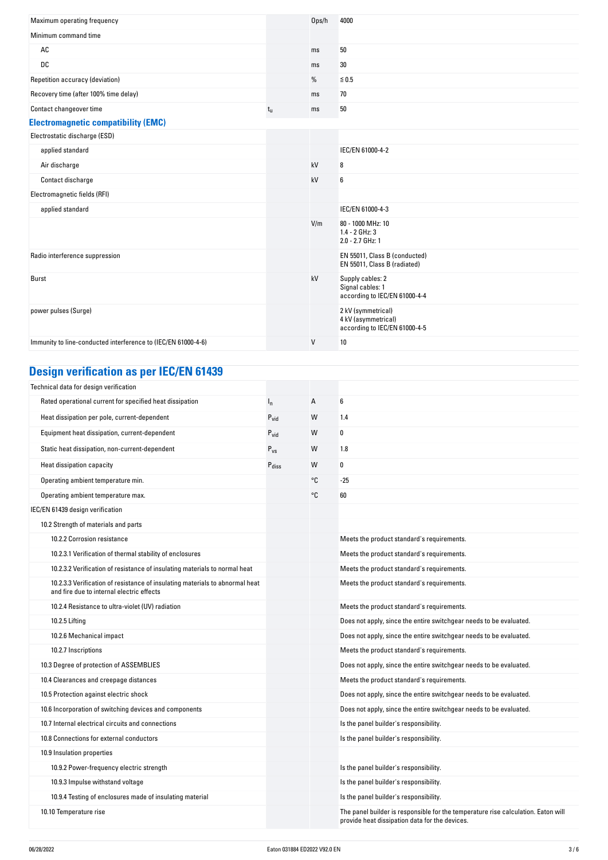| Maximum operating frequency                                   |             | Ops/h  | 4000                                                                       |
|---------------------------------------------------------------|-------------|--------|----------------------------------------------------------------------------|
| Minimum command time                                          |             |        |                                                                            |
| AC                                                            |             | ms     | 50                                                                         |
| DC                                                            |             | ms     | 30                                                                         |
| Repetition accuracy (deviation)                               |             | %      | $≤ 0.5$                                                                    |
| Recovery time (after 100% time delay)                         |             | ms     | 70                                                                         |
| Contact changeover time                                       | $t_{\rm u}$ | ms     | 50                                                                         |
| <b>Electromagnetic compatibility (EMC)</b>                    |             |        |                                                                            |
| Electrostatic discharge (ESD)                                 |             |        |                                                                            |
| applied standard                                              |             |        | IEC/EN 61000-4-2                                                           |
| Air discharge                                                 |             | kV     | 8                                                                          |
| Contact discharge                                             |             | kV     | 6                                                                          |
| Electromagnetic fields (RFI)                                  |             |        |                                                                            |
| applied standard                                              |             |        | IEC/EN 61000-4-3                                                           |
|                                                               |             | V/m    | 80 - 1000 MHz: 10<br>1.4 - 2 GHz: 3<br>2.0 - 2.7 GHz: 1                    |
| Radio interference suppression                                |             |        | EN 55011, Class B (conducted)<br>EN 55011, Class B (radiated)              |
| <b>Burst</b>                                                  |             | kV     | Supply cables: 2<br>Signal cables: 1<br>according to IEC/EN 61000-4-4      |
| power pulses (Surge)                                          |             |        | 2 kV (symmetrical)<br>4 kV (asymmetrical)<br>according to IEC/EN 61000-4-5 |
| Immunity to line-conducted interference to (IEC/EN 61000-4-6) |             | $\vee$ | 10                                                                         |

## **Design verification as per IEC/EN 61439**

| Technical data for design verification                                                                                    |                   |    |                                                                                                                                     |
|---------------------------------------------------------------------------------------------------------------------------|-------------------|----|-------------------------------------------------------------------------------------------------------------------------------------|
| Rated operational current for specified heat dissipation                                                                  | $I_{n}$           | А  | 6                                                                                                                                   |
| Heat dissipation per pole, current-dependent                                                                              | $P_{\text{vid}}$  | W  | 1.4                                                                                                                                 |
| Equipment heat dissipation, current-dependent                                                                             | $P_{vid}$         | W  | 0                                                                                                                                   |
| Static heat dissipation, non-current-dependent                                                                            | $P_{VS}$          | W  | 1.8                                                                                                                                 |
| Heat dissipation capacity                                                                                                 | $P_{\text{diss}}$ | W  | 0                                                                                                                                   |
| Operating ambient temperature min.                                                                                        |                   | °C | $-25$                                                                                                                               |
| Operating ambient temperature max.                                                                                        |                   | °C | 60                                                                                                                                  |
| IEC/EN 61439 design verification                                                                                          |                   |    |                                                                                                                                     |
| 10.2 Strength of materials and parts                                                                                      |                   |    |                                                                                                                                     |
| 10.2.2 Corrosion resistance                                                                                               |                   |    | Meets the product standard's requirements.                                                                                          |
| 10.2.3.1 Verification of thermal stability of enclosures                                                                  |                   |    | Meets the product standard's requirements.                                                                                          |
| 10.2.3.2 Verification of resistance of insulating materials to normal heat                                                |                   |    | Meets the product standard's requirements.                                                                                          |
| 10.2.3.3 Verification of resistance of insulating materials to abnormal heat<br>and fire due to internal electric effects |                   |    | Meets the product standard's requirements.                                                                                          |
| 10.2.4 Resistance to ultra-violet (UV) radiation                                                                          |                   |    | Meets the product standard's requirements.                                                                                          |
| 10.2.5 Lifting                                                                                                            |                   |    | Does not apply, since the entire switchgear needs to be evaluated.                                                                  |
| 10.2.6 Mechanical impact                                                                                                  |                   |    | Does not apply, since the entire switchgear needs to be evaluated.                                                                  |
| 10.2.7 Inscriptions                                                                                                       |                   |    | Meets the product standard's requirements.                                                                                          |
| 10.3 Degree of protection of ASSEMBLIES                                                                                   |                   |    | Does not apply, since the entire switchgear needs to be evaluated.                                                                  |
| 10.4 Clearances and creepage distances                                                                                    |                   |    | Meets the product standard's requirements.                                                                                          |
| 10.5 Protection against electric shock                                                                                    |                   |    | Does not apply, since the entire switchgear needs to be evaluated.                                                                  |
| 10.6 Incorporation of switching devices and components                                                                    |                   |    | Does not apply, since the entire switchgear needs to be evaluated.                                                                  |
| 10.7 Internal electrical circuits and connections                                                                         |                   |    | Is the panel builder's responsibility.                                                                                              |
| 10.8 Connections for external conductors                                                                                  |                   |    | Is the panel builder's responsibility.                                                                                              |
| 10.9 Insulation properties                                                                                                |                   |    |                                                                                                                                     |
| 10.9.2 Power-frequency electric strength                                                                                  |                   |    | Is the panel builder's responsibility.                                                                                              |
| 10.9.3 Impulse withstand voltage                                                                                          |                   |    | Is the panel builder's responsibility.                                                                                              |
| 10.9.4 Testing of enclosures made of insulating material                                                                  |                   |    | Is the panel builder's responsibility.                                                                                              |
| 10.10 Temperature rise                                                                                                    |                   |    | The panel builder is responsible for the temperature rise calculation. Eaton will<br>provide heat dissipation data for the devices. |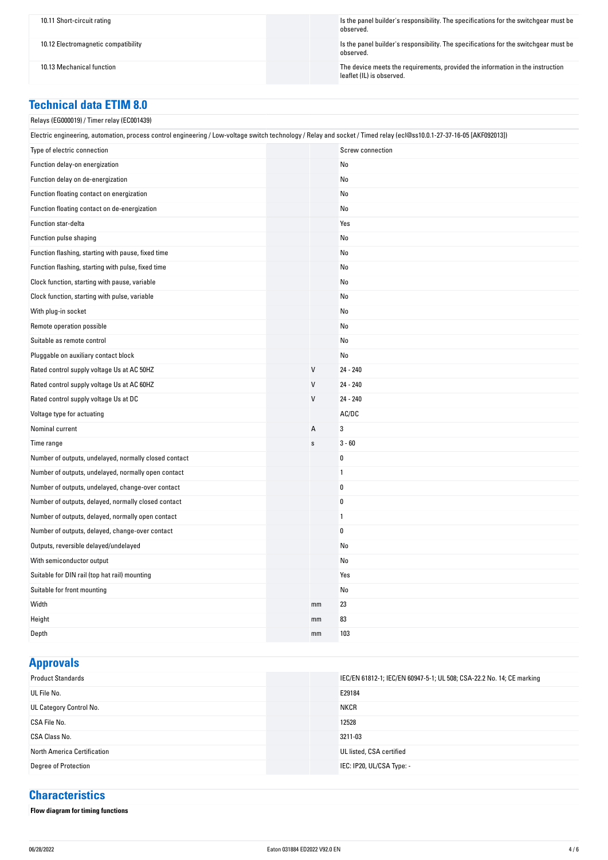10.11 Short-circuit rating Is the panel builder's responsibility. The specifications for the switchgear must be observed.

10.12 Electromagnetic compatibility Is the panel builder's responsibility. The specifications for the switchgear must be observed.

10.13 Mechanical function The device meets the requirements, provided the information in the instruction leaflet (IL) is observed.

#### **Technical data ETIM 8.0**

#### Relays (EG000019) / Timer relay (EC001439)

| Electric engineering, automation, process control engineering / Low-voltage switch technology / Relay and socket / Timed relay (ecl@ss10.0.1-27-37-16-05 [AKF092013]) |  |                |                  |
|-----------------------------------------------------------------------------------------------------------------------------------------------------------------------|--|----------------|------------------|
| Type of electric connection                                                                                                                                           |  |                | Screw connection |
| Function delay-on energization                                                                                                                                        |  |                | No               |
| Function delay on de-energization                                                                                                                                     |  |                | No               |
| Function floating contact on energization                                                                                                                             |  |                | No               |
| Function floating contact on de-energization                                                                                                                          |  |                | No               |
| Function star-delta                                                                                                                                                   |  |                | Yes              |
| Function pulse shaping                                                                                                                                                |  |                | No               |
| Function flashing, starting with pause, fixed time                                                                                                                    |  |                | No               |
| Function flashing, starting with pulse, fixed time                                                                                                                    |  |                | No               |
| Clock function, starting with pause, variable                                                                                                                         |  |                | No               |
| Clock function, starting with pulse, variable                                                                                                                         |  |                | No               |
| With plug-in socket                                                                                                                                                   |  |                | No               |
| Remote operation possible                                                                                                                                             |  |                | No               |
| Suitable as remote control                                                                                                                                            |  |                | No               |
| Pluggable on auxiliary contact block                                                                                                                                  |  |                | No               |
| Rated control supply voltage Us at AC 50HZ                                                                                                                            |  | $\mathsf{V}$   | 24 - 240         |
| Rated control supply voltage Us at AC 60HZ                                                                                                                            |  | V              | 24 - 240         |
| Rated control supply voltage Us at DC                                                                                                                                 |  | V              | 24 - 240         |
| Voltage type for actuating                                                                                                                                            |  |                | AC/DC            |
| Nominal current                                                                                                                                                       |  | $\overline{A}$ | 3                |
| Time range                                                                                                                                                            |  | $\mathbf S$    | $3 - 60$         |
| Number of outputs, undelayed, normally closed contact                                                                                                                 |  |                | 0                |
| Number of outputs, undelayed, normally open contact                                                                                                                   |  |                | 1                |
| Number of outputs, undelayed, change-over contact                                                                                                                     |  |                | 0                |
| Number of outputs, delayed, normally closed contact                                                                                                                   |  |                | 0                |
| Number of outputs, delayed, normally open contact                                                                                                                     |  |                | 1                |
| Number of outputs, delayed, change-over contact                                                                                                                       |  |                | 0                |
| Outputs, reversible delayed/undelayed                                                                                                                                 |  |                | No               |
| With semiconductor output                                                                                                                                             |  |                | No               |
| Suitable for DIN rail (top hat rail) mounting                                                                                                                         |  |                | Yes              |
| Suitable for front mounting                                                                                                                                           |  |                | No               |
| Width                                                                                                                                                                 |  | mm             | 23               |
| Height                                                                                                                                                                |  | mm             | 83               |
| Depth                                                                                                                                                                 |  | mm             | 103              |

**Approvals**

| . .                         |                                                                       |
|-----------------------------|-----------------------------------------------------------------------|
| <b>Product Standards</b>    | IEC/EN 61812-1; IEC/EN 60947-5-1; UL 508; CSA-22.2 No. 14; CE marking |
| UL File No.                 | E29184                                                                |
| UL Category Control No.     | <b>NKCR</b>                                                           |
| CSA File No.                | 12528                                                                 |
| CSA Class No.               | 3211-03                                                               |
| North America Certification | UL listed, CSA certified                                              |
| Degree of Protection        | IEC: IP20, UL/CSA Type: -                                             |
|                             |                                                                       |

#### **Characteristics**

**Flow diagram for timing functions**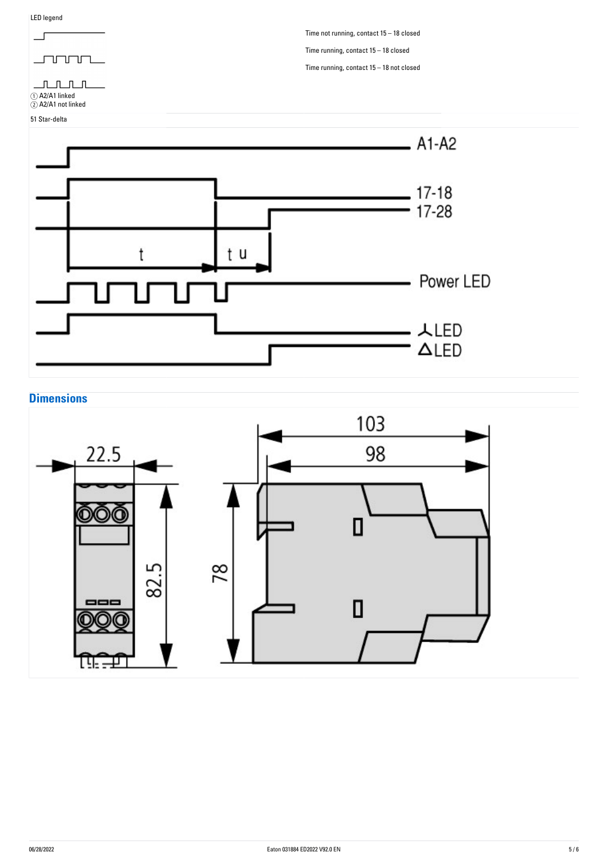

### **Dimensions**